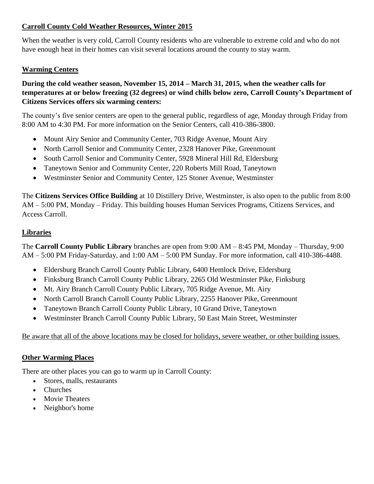# **Carroll County Cold Weather Resources, Winter 2015**

When the weather is very cold, Carroll County residents who are vulnerable to extreme cold and who do not have enough heat in their homes can visit several locations around the county to stay warm.

## **Warming Centers**

## **During the cold weather season, November 15, 2014 – March 31, 2015, when the weather calls for temperatures at or below freezing (32 degrees) or wind chills below zero, Carroll County's Department of Citizens Services offers six warming centers:**

The county's five senior centers are open to the general public, regardless of age, Monday through Friday from 8:00 AM to 4:30 PM. For more information on the Senior Centers, call 410-386-3800.

- Mount Airy Senior and Community Center, 703 Ridge Avenue, Mount Airy
- North Carroll Senior and Community Center, 2328 Hanover Pike, Greenmount
- South Carroll Senior and Community Center, 5928 Mineral Hill Rd, Eldersburg
- Taneytown Senior and Community Center, 220 Roberts Mill Road, Taneytown
- Westminster Senior and Community Center, 125 Stoner Avenue, Westminster

The **Citizens Services Office Building** at 10 Distillery Drive, Westminster, is also open to the public from 8:00 AM – 5:00 PM, Monday – Friday. This building houses Human Services Programs, Citizens Services, and Access Carroll.

## **Libraries**

The **Carroll County Public Library** branches are open from 9:00 AM – 8:45 PM, Monday – Thursday, 9:00 AM – 5:00 PM Friday-Saturday, and 1:00 AM – 5:00 PM Sunday. For more information, call 410-386-4488.

- Eldersburg Branch Carroll County Public Library, 6400 Hemlock Drive, Eldersburg
- Finksburg Branch Carroll County Public Library, 2265 Old Westminster Pike, Finksburg
- Mt. Airy Branch Carroll County Public Library, 705 Ridge Avenue, Mt. Airy
- North Carroll Branch Carroll County Public Library, 2255 Hanover Pike, Greenmount
- Taneytown Branch Carroll County Public Library, 10 Grand Drive, Taneytown
- Westminster Branch Carroll County Public Library, 50 East Main Street, Westminster

# Be aware that all of the above locations may be closed for holidays, severe weather, or other building issues.

#### **Other Warming Places**

There are other places you can go to warm up in Carroll County:

- Stores, malls, restaurants
- Churches
- Movie Theaters
- Neighbor's home